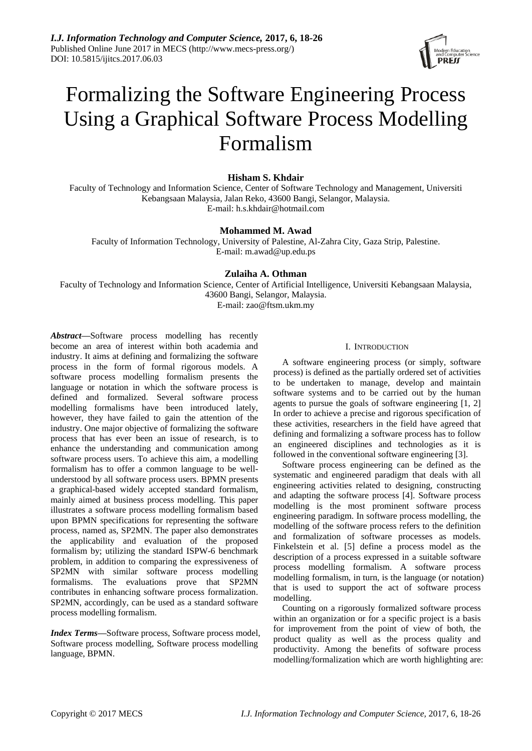

# Formalizing the Software Engineering Process Using a Graphical Software Process Modelling Formalism

# **Hisham S. Khdair**

Faculty of Technology and Information Science, Center of Software Technology and Management, Universiti Kebangsaan Malaysia, Jalan Reko, 43600 Bangi, Selangor, Malaysia. E-mail: h.s.khdair@hotmail.com

# **Mohammed M. Awad**

Faculty of Information Technology, University of Palestine, Al-Zahra City, Gaza Strip, Palestine. E-mail: m.awad@up.edu.ps

# **Zulaiha A. Othman**

Faculty of Technology and Information Science, Center of Artificial Intelligence, Universiti Kebangsaan Malaysia, 43600 Bangi, Selangor, Malaysia. E-mail: zao@ftsm.ukm.my

*Abstract***—**Software process modelling has recently become an area of interest within both academia and industry. It aims at defining and formalizing the software process in the form of formal rigorous models. A software process modelling formalism presents the language or notation in which the software process is defined and formalized. Several software process modelling formalisms have been introduced lately, however, they have failed to gain the attention of the industry. One major objective of formalizing the software process that has ever been an issue of research, is to enhance the understanding and communication among software process users. To achieve this aim, a modelling formalism has to offer a common language to be wellunderstood by all software process users. BPMN presents a graphical-based widely accepted standard formalism, mainly aimed at business process modelling. This paper illustrates a software process modelling formalism based upon BPMN specifications for representing the software process, named as, SP2MN. The paper also demonstrates the applicability and evaluation of the proposed formalism by; utilizing the standard ISPW-6 benchmark problem, in addition to comparing the expressiveness of SP2MN with similar software process modelling formalisms. The evaluations prove that SP2MN contributes in enhancing software process formalization. SP2MN, accordingly, can be used as a standard software process modelling formalism.

*Index Terms***—**Software process, Software process model, Software process modelling, Software process modelling language, BPMN.

# I. INTRODUCTION

A software engineering process (or simply, software process) is defined as the partially ordered set of activities to be undertaken to manage, develop and maintain software systems and to be carried out by the human agents to pursue the goals of software engineering [1, 2] In order to achieve a precise and rigorous specification of these activities, researchers in the field have agreed that defining and formalizing a software process has to follow an engineered disciplines and technologies as it is followed in the conventional software engineering [3].

Software process engineering can be defined as the systematic and engineered paradigm that deals with all engineering activities related to designing, constructing and adapting the software process [4]. Software process modelling is the most prominent software process engineering paradigm. In software process modelling, the modelling of the software process refers to the definition and formalization of software processes as models. Finkelstein et al. [5] define a process model as the description of a process expressed in a suitable software process modelling formalism. A software process modelling formalism, in turn, is the language (or notation) that is used to support the act of software process modelling.

Counting on a rigorously formalized software process within an organization or for a specific project is a basis for improvement from the point of view of both, the product quality as well as the process quality and productivity. Among the benefits of software process modelling/formalization which are worth highlighting are: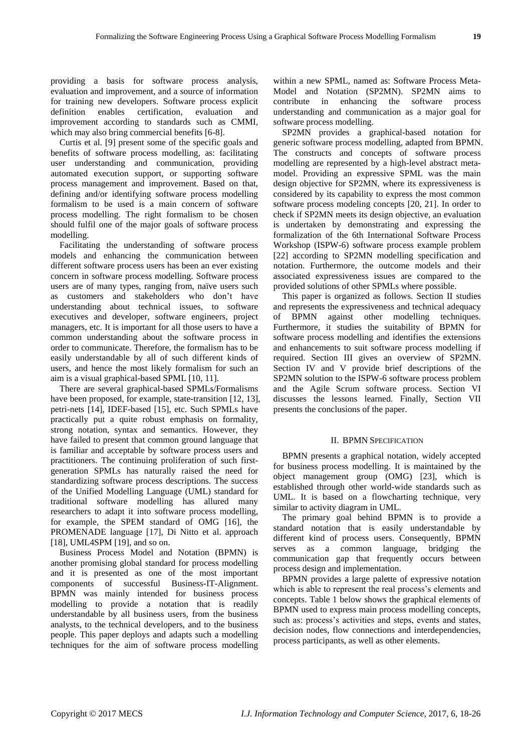providing a basis for software process analysis, evaluation and improvement, and a source of information for training new developers. Software process explicit definition enables certification, evaluation and improvement according to standards such as CMMI, which may also bring commercial benefits [6-8].

Curtis et al. [9] present some of the specific goals and benefits of software process modelling, as: facilitating user understanding and communication, providing automated execution support, or supporting software process management and improvement. Based on that, defining and/or identifying software process modelling formalism to be used is a main concern of software process modelling. The right formalism to be chosen should fulfil one of the major goals of software process modelling.

Facilitating the understanding of software process models and enhancing the communication between different software process users has been an ever existing concern in software process modelling. Software process users are of many types, ranging from, na we users such as customers and stakeholders who don't have understanding about technical issues, to software executives and developer, software engineers, project managers, etc. It is important for all those users to have a common understanding about the software process in order to communicate. Therefore, the formalism has to be easily understandable by all of such different kinds of users, and hence the most likely formalism for such an aim is a visual graphical-based SPML [10, 11].

There are several graphical-based SPMLs/Formalisms have been proposed, for example, state-transition [12, 13], petri-nets [14], IDEF-based [15], etc. Such SPMLs have practically put a quite robust emphasis on formality, strong notation, syntax and semantics. However, they have failed to present that common ground language that is familiar and acceptable by software process users and practitioners. The continuing proliferation of such firstgeneration SPMLs has naturally raised the need for standardizing software process descriptions. The success of the Unified Modelling Language (UML) standard for traditional software modelling has allured many researchers to adapt it into software process modelling, for example, the SPEM standard of OMG [16], the PROMENADE language [17], Di Nitto et al. approach [18], UML4SPM [19], and so on.

Business Process Model and Notation (BPMN) is another promising global standard for process modelling and it is presented as one of the most important components of successful Business-IT-Alignment. BPMN was mainly intended for business process modelling to provide a notation that is readily understandable by all business users, from the business analysts, to the technical developers, and to the business people. This paper deploys and adapts such a modelling techniques for the aim of software process modelling

within a new SPML, named as: Software Process Meta-Model and Notation (SP2MN). SP2MN aims to contribute in enhancing the software process understanding and communication as a major goal for software process modelling.

SP2MN provides a graphical-based notation for generic software process modelling, adapted from BPMN. The constructs and concepts of software process modelling are represented by a high-level abstract metamodel. Providing an expressive SPML was the main design objective for SP2MN, where its expressiveness is considered by its capability to express the most common software process modeling concepts [20, 21]. In order to check if SP2MN meets its design objective, an evaluation is undertaken by demonstrating and expressing the formalization of the 6th International Software Process Workshop (ISPW-6) software process example problem [22] according to SP2MN modelling specification and notation. Furthermore, the outcome models and their associated expressiveness issues are compared to the provided solutions of other SPMLs where possible.

This paper is organized as follows. Section II studies and represents the expressiveness and technical adequacy of BPMN against other modelling techniques. Furthermore, it studies the suitability of BPMN for software process modelling and identifies the extensions and enhancements to suit software process modelling if required. Section III gives an overview of SP2MN. Section IV and V provide brief descriptions of the SP2MN solution to the ISPW-6 software process problem and the Agile Scrum software process. Section VI discusses the lessons learned. Finally, Section VII presents the conclusions of the paper.

### II. BPMN SPECIFICATION

BPMN presents a graphical notation, widely accepted for business process modelling. It is maintained by the object management group (OMG) [23], which is established through other world-wide standards such as UML. It is based on a flowcharting technique, very similar to activity diagram in UML.

The primary goal behind BPMN is to provide a standard notation that is easily understandable by different kind of process users. Consequently, BPMN serves as a common language, bridging the communication gap that frequently occurs between process design and implementation.

BPMN provides a large palette of expressive notation which is able to represent the real process's elements and concepts. Table 1 below shows the graphical elements of BPMN used to express main process modelling concepts, such as: process's activities and steps, events and states, decision nodes, flow connections and interdependencies, process participants, as well as other elements.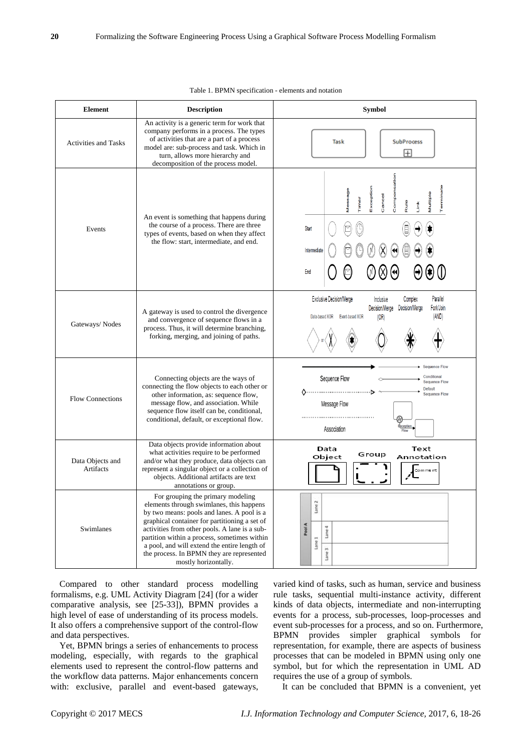| <b>Element</b>                | <b>Description</b>                                                                                                                                                                                                                                                                                                                                                                                 | Symbol                                                                                                                                                                          |  |
|-------------------------------|----------------------------------------------------------------------------------------------------------------------------------------------------------------------------------------------------------------------------------------------------------------------------------------------------------------------------------------------------------------------------------------------------|---------------------------------------------------------------------------------------------------------------------------------------------------------------------------------|--|
| <b>Activities and Tasks</b>   | An activity is a generic term for work that<br>company performs in a process. The types<br>of activities that are a part of a process<br>model are: sub-process and task. Which in<br>turn, allows more hierarchy and<br>decomposition of the process model.                                                                                                                                       | <b>SubProcess</b><br>Task<br>$\overline{+}$                                                                                                                                     |  |
| Events                        | An event is something that happens during<br>the course of a process. There are three<br>types of events, based on when they affect<br>the flow: start, intermediate, and end.                                                                                                                                                                                                                     | erminate<br>Exception<br>Message<br>Compen<br>Multiple<br>Cancel<br><b>Timer</b><br>Rule<br>Ě<br>E<br><b>Start</b><br>Intermediate<br>End                                       |  |
| Gateways/Nodes                | A gateway is used to control the divergence<br>and convergence of sequence flows in a<br>process. Thus, it will determine branching,<br>forking, merging, and joining of paths.                                                                                                                                                                                                                    | Parallel<br><b>Exclusive Decision/Merge</b><br>Complex<br>Inclusive<br>Fork/Join<br>Decision/Merge Decision/Merge<br>(AND)<br>Data-based XOR<br>Event-based XOR<br>(OR)         |  |
| <b>Flow Connections</b>       | Connecting objects are the ways of<br>connecting the flow objects to each other or<br>other information, as: sequence flow,<br>message flow, and association. While<br>sequence flow itself can be, conditional,<br>conditional, default, or exceptional flow.                                                                                                                                     | <b>Sequence Flow</b><br>Conditional<br>Sequence Flow<br><b>Sequence Flow</b><br><b>Default</b><br>↑…………………………<br><b>Sequence Flow</b><br>Message Flow<br>xceptio<br>Association |  |
| Data Objects and<br>Artifacts | Data objects provide information about<br>what activities require to be performed<br>and/or what they produce, data objects can<br>represent a singular object or a collection of<br>objects. Additional artifacts are text<br>annotations or group.                                                                                                                                               | Data<br>Text<br>Group<br>Object<br>Annotation<br>Comment                                                                                                                        |  |
| Swimlanes                     | For grouping the primary modeling<br>elements through swimlanes, this happens<br>by two means: pools and lanes. A pool is a<br>graphical container for partitioning a set of<br>activities from other pools. A lane is a sub-<br>partition within a process, sometimes within<br>a pool, and will extend the entire length of<br>the process. In BPMN they are represented<br>mostly horizontally. | Lane 2<br>Pool A<br>Lane 4<br>Lane 1<br>Lane 3                                                                                                                                  |  |

Table 1. BPMN specification - elements and notation

Compared to other standard process modelling formalisms, e.g. UML Activity Diagram [24] (for a wider comparative analysis, see [25-33]), BPMN provides a high level of ease of understanding of its process models. It also offers a comprehensive support of the control-flow and data perspectives.

Yet, BPMN brings a series of enhancements to process modeling, especially, with regards to the graphical elements used to represent the control-flow patterns and the workflow data patterns. Major enhancements concern with: exclusive, parallel and event-based gateways,

varied kind of tasks, such as human, service and business rule tasks, sequential multi-instance activity, different kinds of data objects, intermediate and non-interrupting events for a process, sub-processes, loop-processes and event sub-processes for a process, and so on. Furthermore, BPMN provides simpler graphical symbols for representation, for example, there are aspects of business processes that can be modeled in BPMN using only one symbol, but for which the representation in UML AD requires the use of a group of symbols.

It can be concluded that BPMN is a convenient, yet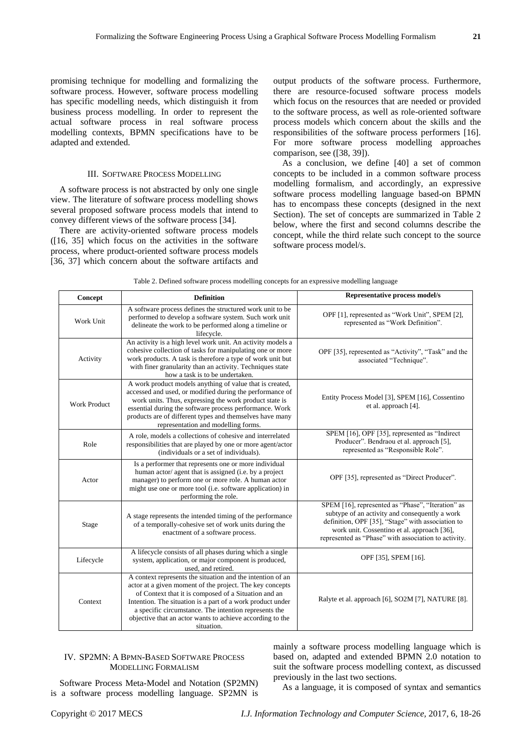promising technique for modelling and formalizing the software process. However, software process modelling has specific modelling needs, which distinguish it from business process modelling. In order to represent the actual software process in real software process modelling contexts, BPMN specifications have to be adapted and extended.

## III. SOFTWARE PROCESS MODELLING

A software process is not abstracted by only one single view. The literature of software process modelling shows several proposed software process models that intend to convey different views of the software process [34].

There are activity-oriented software process models  $(16, 35)$  which focus on the activities in the software process, where product-oriented software process models [36, 37] which concern about the software artifacts and output products of the software process. Furthermore, there are resource-focused software process models which focus on the resources that are needed or provided to the software process, as well as role-oriented software process models which concern about the skills and the responsibilities of the software process performers [16]. For more software process modelling approaches comparison, see ([38, 39]).

As a conclusion, we define [40] a set of common concepts to be included in a common software process modelling formalism, and accordingly, an expressive software process modelling language based-on BPMN has to encompass these concepts (designed in the next Section). The set of concepts are summarized in Table 2 below, where the first and second columns describe the concept, while the third relate such concept to the source software process model/s.

|  | Table 2. Defined software process modelling concepts for an expressive modelling language |  |  |  |  |
|--|-------------------------------------------------------------------------------------------|--|--|--|--|
|--|-------------------------------------------------------------------------------------------|--|--|--|--|

| Concept             | <b>Definition</b>                                                                                                                                                                                                                                                                                                                                                                | <b>Representative process model/s</b>                                                                                                                                                                                                                           |
|---------------------|----------------------------------------------------------------------------------------------------------------------------------------------------------------------------------------------------------------------------------------------------------------------------------------------------------------------------------------------------------------------------------|-----------------------------------------------------------------------------------------------------------------------------------------------------------------------------------------------------------------------------------------------------------------|
| Work Unit           | A software process defines the structured work unit to be<br>performed to develop a software system. Such work unit<br>delineate the work to be performed along a timeline or<br>lifecycle.                                                                                                                                                                                      | OPF [1], represented as "Work Unit", SPEM [2],<br>represented as "Work Definition".                                                                                                                                                                             |
| Activity            | An activity is a high level work unit. An activity models a<br>cohesive collection of tasks for manipulating one or more<br>work products. A task is therefore a type of work unit but<br>with finer granularity than an activity. Techniques state<br>how a task is to be undertaken.                                                                                           | OPF [35], represented as "Activity", "Task" and the<br>associated "Technique".                                                                                                                                                                                  |
| <b>Work Product</b> | A work product models anything of value that is created,<br>accessed and used, or modified during the performance of<br>work units. Thus, expressing the work product state is<br>essential during the software process performance. Work<br>products are of different types and themselves have many<br>representation and modelling forms.                                     | Entity Process Model [3], SPEM [16], Cossentino<br>et al. approach [4].                                                                                                                                                                                         |
| Role                | A role, models a collections of cohesive and interrelated<br>responsibilities that are played by one or more agent/actor<br>(individuals or a set of individuals).                                                                                                                                                                                                               | SPEM [16], OPF [35], represented as "Indirect<br>Producer". Bendraou et al. approach [5],<br>represented as "Responsible Role".                                                                                                                                 |
| Actor               | Is a performer that represents one or more individual<br>human actor/ agent that is assigned (i.e. by a project<br>manager) to perform one or more role. A human actor<br>might use one or more tool (i.e. software application) in<br>performing the role.                                                                                                                      | OPF [35], represented as "Direct Producer".                                                                                                                                                                                                                     |
| Stage               | A stage represents the intended timing of the performance<br>of a temporally-cohesive set of work units during the<br>enactment of a software process.                                                                                                                                                                                                                           | SPEM [16], represented as "Phase", "Iteration" as<br>subtype of an activity and consequently a work<br>definition, OPF [35], "Stage" with association to<br>work unit. Cossentino et al. approach [36],<br>represented as "Phase" with association to activity. |
| Lifecycle           | A lifecycle consists of all phases during which a single<br>system, application, or major component is produced,<br>used, and retired.                                                                                                                                                                                                                                           | OPF [35], SPEM [16].                                                                                                                                                                                                                                            |
| Context             | A context represents the situation and the intention of an<br>actor at a given moment of the project. The key concepts<br>of Context that it is composed of a Situation and an<br>Intention. The situation is a part of a work product under<br>a specific circumstance. The intention represents the<br>objective that an actor wants to achieve according to the<br>situation. | Ralyte et al. approach [6], SO2M [7], NATURE [8].                                                                                                                                                                                                               |

### IV. SP2MN: A BPMN-BASED SOFTWARE PROCESS MODELLING FORMALISM

Software Process Meta-Model and Notation (SP2MN) is a software process modelling language. SP2MN is

mainly a software process modelling language which is based on, adapted and extended BPMN 2.0 notation to suit the software process modelling context, as discussed previously in the last two sections.

As a language, it is composed of syntax and semantics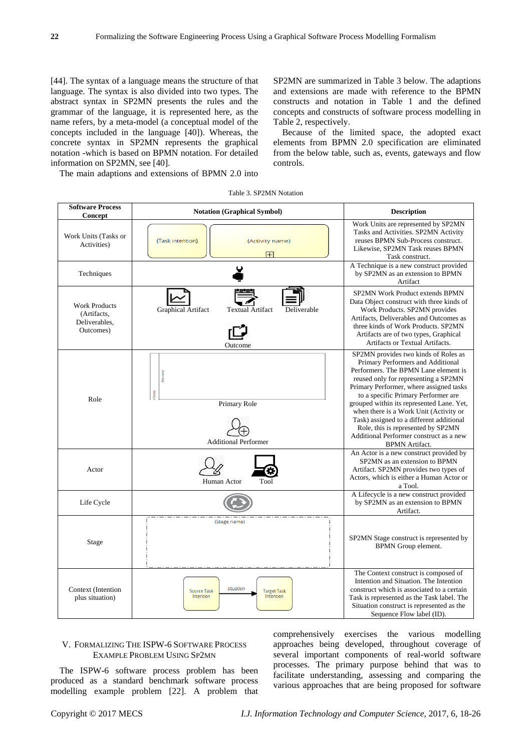[44]. The syntax of a language means the structure of that language. The syntax is also divided into two types. The abstract syntax in SP2MN presents the rules and the grammar of the language, it is represented here, as the name refers, by a meta-model (a conceptual model of the concepts included in the language [40]). Whereas, the concrete syntax in SP2MN represents the graphical notation -which is based on BPMN notation. For detailed information on SP2MN, see [40].

SP2MN are summarized in Table 3 below. The adaptions and extensions are made with reference to the BPMN constructs and notation in Table 1 and the defined concepts and constructs of software process modelling in Table 2, respectively.

Because of the limited space, the adopted exact elements from BPMN 2.0 specification are eliminated from the below table, such as, events, gateways and flow controls.

The main adaptions and extensions of BPMN 2.0 into

|  |  | Table 3. SP2MN Notation |
|--|--|-------------------------|
|--|--|-------------------------|

| <b>Software Process</b><br>Concept                                | <b>Notation (Graphical Symbol)</b>                                              | <b>Description</b>                                                                                                                                                                                                                                                                                                                                                                                                                                                                       |
|-------------------------------------------------------------------|---------------------------------------------------------------------------------|------------------------------------------------------------------------------------------------------------------------------------------------------------------------------------------------------------------------------------------------------------------------------------------------------------------------------------------------------------------------------------------------------------------------------------------------------------------------------------------|
| Work Units (Tasks or<br>Activities)                               | {Task intention}<br>{Activity name}<br>田                                        | Work Units are represented by SP2MN<br>Tasks and Activities. SP2MN Activity<br>reuses BPMN Sub-Process construct.<br>Likewise, SP2MN Task reuses BPMN<br>Task construct.                                                                                                                                                                                                                                                                                                                 |
| Techniques                                                        | Y                                                                               | A Technique is a new construct provided<br>by SP2MN as an extension to BPMN<br>Artifact                                                                                                                                                                                                                                                                                                                                                                                                  |
| <b>Work Products</b><br>(Artifacts,<br>Deliverables,<br>Outcomes) | Graphical Artifact<br><b>Textual Artifact</b><br>Deliverable<br>Outcome         | SP2MN Work Product extends BPMN<br>Data Object construct with three kinds of<br>Work Products. SP2MN provides<br>Artifacts, Deliverables and Outcomes as<br>three kinds of Work Products. SP2MN<br>Artifacts are of two types, Graphical<br>Artifacts or Textual Artifacts.                                                                                                                                                                                                              |
| Role                                                              | ğ<br>Primary Role<br><b>Additional Performer</b>                                | SP2MN provides two kinds of Roles as<br>Primary Performers and Additional<br>Performers. The BPMN Lane element is<br>reused only for representing a SP2MN<br>Primary Performer, where assigned tasks<br>to a specific Primary Performer are<br>grouped within its represented Lane. Yet,<br>when there is a Work Unit (Activity or<br>Task) assigned to a different additional<br>Role, this is represented by SP2MN<br>Additional Performer construct as a new<br><b>BPMN</b> Artifact. |
| Actor                                                             | Human Actor<br>Tool                                                             | An Actor is a new construct provided by<br>SP2MN as an extension to BPMN<br>Artifact. SP2MN provides two types of<br>Actors, which is either a Human Actor or<br>a Tool.                                                                                                                                                                                                                                                                                                                 |
| Life Cycle                                                        |                                                                                 | A Lifecycle is a new construct provided<br>by SP2MN as an extension to BPMN<br>Artifact.                                                                                                                                                                                                                                                                                                                                                                                                 |
| Stage                                                             | {Stage name}                                                                    | SP2MN Stage construct is represented by<br>BPMN Group element.                                                                                                                                                                                                                                                                                                                                                                                                                           |
| Context (Intention<br>plus situation)                             | situation<br><b>Target Task</b><br><b>Source Task</b><br>Intention<br>Intention | The Context construct is composed of<br>Intention and Situation. The Intention<br>construct which is associated to a certain<br>Task is represented as the Task label. The<br>Situation construct is represented as the<br>Sequence Flow label (ID).                                                                                                                                                                                                                                     |

## V. FORMALIZING THE ISPW-6 SOFTWARE PROCESS EXAMPLE PROBLEM USING SP2MN

The ISPW-6 software process problem has been produced as a standard benchmark software process modelling example problem [22]. A problem that comprehensively exercises the various modelling approaches being developed, throughout coverage of several important components of real-world software processes. The primary purpose behind that was to facilitate understanding, assessing and comparing the various approaches that are being proposed for software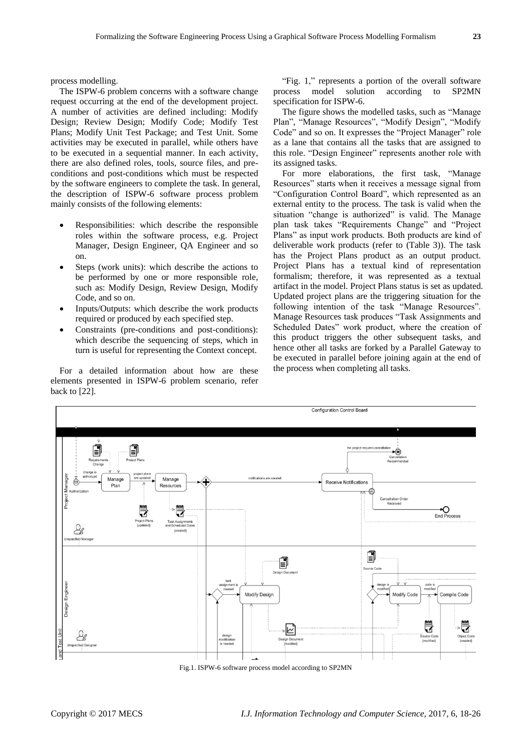process modelling.

The ISPW-6 problem concerns with a software change request occurring at the end of the development project. A number of activities are defined including: Modify Design; Review Design; Modify Code; Modify Test Plans; Modify Unit Test Package; and Test Unit. Some activities may be executed in parallel, while others have to be executed in a sequential manner. In each activity, there are also defined roles, tools, source files, and preconditions and post-conditions which must be respected by the software engineers to complete the task. In general, the description of ISPW-6 software process problem mainly consists of the following elements:

- Responsibilities: which describe the responsible roles within the software process, e.g. Project Manager, Design Engineer, QA Engineer and so on.
- Steps (work units): which describe the actions to be performed by one or more responsible role, such as: Modify Design, Review Design, Modify Code, and so on.
- Inputs/Outputs: which describe the work products required or produced by each specified step.
- Constraints (pre-conditions and post-conditions): which describe the sequencing of steps, which in turn is useful for representing the Context concept.

For a detailed information about how are these elements presented in ISPW-6 problem scenario, refer back to [22].

"Fig. 1," represents a portion of the overall software process model solution according to SP2MN specification for ISPW-6.

The figure shows the modelled tasks, such as "Manage Plan", "Manage Resources", "Modify Design", "Modify Code" and so on. It expresses the "Project Manager" role as a lane that contains all the tasks that are assigned to this role. "Design Engineer" represents another role with its assigned tasks.

For more elaborations, the first task, "Manage Resources" starts when it receives a message signal from "Configuration Control Board", which represented as an external entity to the process. The task is valid when the situation "change is authorized" is valid. The Manage plan task takes "Requirements Change" and "Project Plans" as input work products. Both products are kind of deliverable work products (refer to (Table 3)). The task has the Project Plans product as an output product. Project Plans has a textual kind of representation formalism; therefore, it was represented as a textual artifact in the model. Project Plans status is set as updated. Updated project plans are the triggering situation for the following intention of the task "Manage Resources". Manage Resources task produces "Task Assignments and Scheduled Dates" work product, where the creation of this product triggers the other subsequent tasks, and hence other all tasks are forked by a Parallel Gateway to be executed in parallel before joining again at the end of the process when completing all tasks.



Fig.1. ISPW-6 software process model according to SP2MN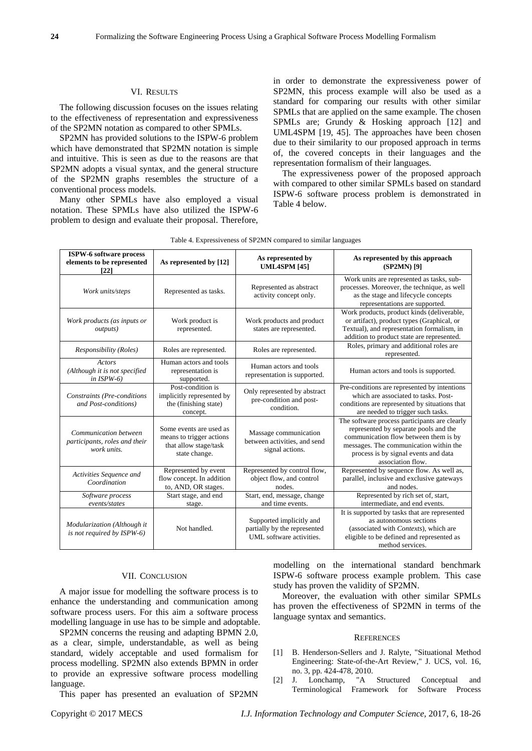#### VI. RESULTS

The following discussion focuses on the issues relating to the effectiveness of representation and expressiveness of the SP2MN notation as compared to other SPMLs.

SP2MN has provided solutions to the ISPW-6 problem which have demonstrated that SP2MN notation is simple and intuitive. This is seen as due to the reasons are that SP2MN adopts a visual syntax, and the general structure of the SP2MN graphs resembles the structure of a conventional process models.

Many other SPMLs have also employed a visual notation. These SPMLs have also utilized the ISPW-6 problem to design and evaluate their proposal. Therefore,

in order to demonstrate the expressiveness power of SP2MN, this process example will also be used as a standard for comparing our results with other similar SPMLs that are applied on the same example. The chosen SPMLs are; Grundy & Hosking approach [12] and UML4SPM [19, 45]. The approaches have been chosen due to their similarity to our proposed approach in terms of, the covered concepts in their languages and the representation formalism of their languages.

The expressiveness power of the proposed approach with compared to other similar SPMLs based on standard ISPW-6 software process problem is demonstrated in Table 4 below.

| <b>ISPW-6 software process</b><br>elements to be represented<br>[22]  | As represented by [12]                                                                        | As represented by<br><b>UML4SPM [45]</b>                                             | As represented by this approach<br>(SP2MN) [9]                                                                                                                                                                                         |
|-----------------------------------------------------------------------|-----------------------------------------------------------------------------------------------|--------------------------------------------------------------------------------------|----------------------------------------------------------------------------------------------------------------------------------------------------------------------------------------------------------------------------------------|
| Work units/steps                                                      | Represented as tasks.                                                                         | Represented as abstract<br>activity concept only.                                    | Work units are represented as tasks, sub-<br>processes. Moreover, the technique, as well<br>as the stage and lifecycle concepts<br>representations are supported.                                                                      |
| Work products (as inputs or<br><i>outputs</i> )                       | Work product is<br>represented.                                                               | Work products and product<br>states are represented.                                 | Work products, product kinds (deliverable,<br>or artifact), product types (Graphical, or<br>Textual), and representation formalism, in<br>addition to product state are represented.                                                   |
| Responsibility (Roles)                                                | Roles are represented.                                                                        | Roles are represented.                                                               | Roles, primary and additional roles are<br>represented.                                                                                                                                                                                |
| <b>Actors</b><br>(Although it is not specified<br>in $ISPW-6$ )       | Human actors and tools<br>representation is<br>supported.                                     | Human actors and tools<br>representation is supported.                               | Human actors and tools is supported.                                                                                                                                                                                                   |
| Constraints (Pre-conditions<br>and Post-conditions)                   | Post-condition is<br>implicitly represented by<br>the (finishing state)<br>concept.           | Only represented by abstract<br>pre-condition and post-<br>condition.                | Pre-conditions are represented by intentions<br>which are associated to tasks. Post-<br>conditions are represented by situations that<br>are needed to trigger such tasks.                                                             |
| Communication between<br>participants, roles and their<br>work units. | Some events are used as<br>means to trigger actions<br>that allow stage/task<br>state change. | Massage communication<br>between activities, and send<br>signal actions.             | The software process participants are clearly<br>represented by separate pools and the<br>communication flow between them is by<br>messages. The communication within the<br>process is by signal events and data<br>association flow. |
| Activities Sequence and<br>Coordination                               | Represented by event<br>flow concept. In addition<br>to, AND, OR stages.                      | Represented by control flow,<br>object flow, and control<br>nodes.                   | Represented by sequence flow. As well as,<br>parallel, inclusive and exclusive gateways<br>and nodes.                                                                                                                                  |
| Software process<br>events/states                                     | Start stage, and end<br>stage.                                                                | Start, end, message, change<br>and time events.                                      | Represented by rich set of, start,<br>intermediate, and end events.                                                                                                                                                                    |
| Modularization (Although it<br>is not required by ISPW-6)             | Not handled.                                                                                  | Supported implicitly and<br>partially by the represented<br>UML software activities. | It is supported by tasks that are represented<br>as autonomous sections<br>(associated with Contexts), which are<br>eligible to be defined and represented as<br>method services.                                                      |

#### Table 4. Expressiveness of SP2MN compared to similar languages

#### VII. CONCLUSION

A major issue for modelling the software process is to enhance the understanding and communication among software process users. For this aim a software process modelling language in use has to be simple and adoptable.

SP2MN concerns the reusing and adapting BPMN 2.0, as a clear, simple, understandable, as well as being standard, widely acceptable and used formalism for process modelling. SP2MN also extends BPMN in order to provide an expressive software process modelling language.

This paper has presented an evaluation of SP2MN

modelling on the international standard benchmark ISPW-6 software process example problem. This case study has proven the validity of SP2MN.

Moreover, the evaluation with other similar SPMLs has proven the effectiveness of SP2MN in terms of the language syntax and semantics.

#### **REFERENCES**

- [1] B. Henderson-Sellers and J. Ralyte, "Situational Method Engineering: State-of-the-Art Review," J. UCS, vol. 16, no. 3, pp. 424-478, 2010.
- [2] J. Lonchamp, "A Structured Conceptual and Terminological Framework for Software Process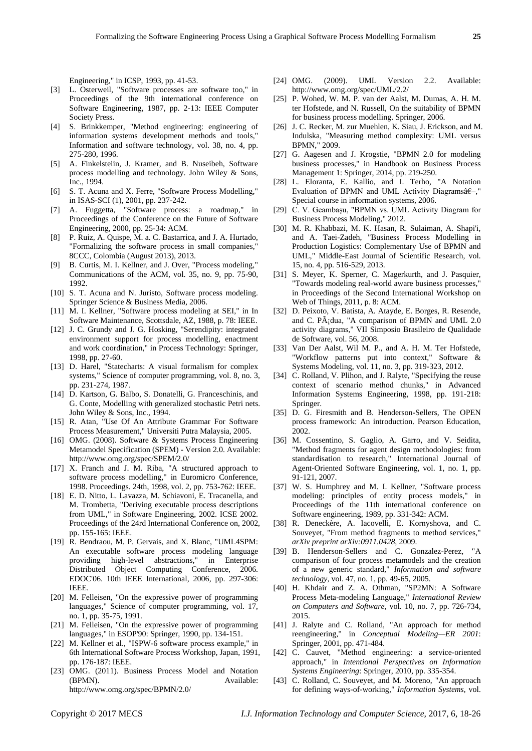- [3] L. Osterweil, "Software processes are software too," in Proceedings of the 9th international conference on Software Engineering, 1987, pp. 2-13: IEEE Computer Society Press.
- [4] S. Brinkkemper, "Method engineering: engineering of information systems development methods and tools," Information and software technology, vol. 38, no. 4, pp. 275-280, 1996.
- [5] A. Finkelsteiin, J. Kramer, and B. Nuseibeh, Software process modelling and technology. John Wiley & Sons, Inc., 1994.
- [6] S. T. Acuna and X. Ferre, "Software Process Modelling," in ISAS-SCI (1), 2001, pp. 237-242.
- [7] A. Fuggetta, "Software process: a roadmap," in Proceedings of the Conference on the Future of Software Engineering, 2000, pp. 25-34: ACM.
- [8] P. Ruiz, A. Quispe, M. a. C. Bastarrica, and J. A. Hurtado, "Formalizing the software process in small companies," 8CCC, Colombia (August 2013), 2013.
- B. Curtis, M. I. Kellner, and J. Over, "Process modeling," Communications of the ACM, vol. 35, no. 9, pp. 75-90, 1992.
- [10] S. T. Acuna and N. Juristo, Software process modeling. Springer Science & Business Media, 2006.
- [11] M. I. Kellner, "Software process modeling at SEI," in In Software Maintenance, Scottsdale, AZ, 1988, p. 78: IEEE.
- [12] J. C. Grundy and J. G. Hosking, "Serendipity: integrated environment support for process modelling, enactment and work coordination," in Process Technology: Springer, 1998, pp. 27-60.
- [13] D. Harel, "Statecharts: A visual formalism for complex systems," Science of computer programming, vol. 8, no. 3, pp. 231-274, 1987.
- [14] D. Kartson, G. Balbo, S. Donatelli, G. Franceschinis, and G. Conte, Modelling with generalized stochastic Petri nets. John Wiley & Sons, Inc., 1994.
- [15] R. Atan, "Use Of An Attribute Grammar For Software Process Measurement," Universiti Putra Malaysia, 2005.
- [16] OMG. (2008). Software & Systems Process Engineering Metamodel Specification (SPEM) - Version 2.0. Available: <http://www.omg.org/spec/SPEM/2.0/>
- [17] X. Franch and J. M. Riba, "A structured approach to software process modelling," in Euromicro Conference, 1998. Proceedings. 24th, 1998, vol. 2, pp. 753-762: IEEE.
- [18] E. D. Nitto, L. Lavazza, M. Schiavoni, E. Tracanella, and M. Trombetta, "Deriving executable process descriptions from UML," in Software Engineering, 2002. ICSE 2002. Proceedings of the 24rd International Conference on, 2002, pp. 155-165: IEEE.
- [19] R. Bendraou, M. P. Gervais, and X. Blanc, "UML4SPM: An executable software process modeling language providing high-level abstractions," in Enterprise Distributed Object Computing Conference, 2006. EDOC'06. 10th IEEE International, 2006, pp. 297-306: IEEE.
- [20] M. Felleisen, "On the expressive power of programming languages," Science of computer programming, vol. 17, no. 1, pp. 35-75, 1991.
- [21] M. Felleisen, "On the expressive power of programming languages," in ESOP'90: Springer, 1990, pp. 134-151.
- [22] M. Kellner et al., "ISPW-6 software process example," in 6th International Software Process Workshop, Japan, 1991, pp. 176-187: IEEE.
- [23] OMG. (2011). Business Process Model and Notation (BPMN). Available: <http://www.omg.org/spec/BPMN/2.0/>
- [24] OMG. (2009). UML Version 2.2. Available: <http://www.omg.org/spec/UML/2.2/>
- [25] P. Wohed, W. M. P. van der Aalst, M. Dumas, A. H. M. ter Hofstede, and N. Russell, On the suitability of BPMN for business process modelling. Springer, 2006.
- [26] J. C. Recker, M. zur Muehlen, K. Siau, J. Erickson, and M. Indulska, "Measuring method complexity: UML versus BPMN," 2009.
- [27] G. Aagesen and J. Krogstie, "BPMN 2.0 for modeling business processes," in Handbook on Business Process Management 1: Springer, 2014, pp. 219-250.
- [28] L. Eloranta, E. Kallio, and I. Terho, "A Notation Evaluation of BPMN and UML Activity Diagrams $\hat{a}\hat{\epsilon}$ -," Special course in information systems, 2006.
- [29] C. V. Geambaşu, "BPMN vs. UML Activity Diagram for Business Process Modeling," 2012.
- [30] M. R. Khabbazi, M. K. Hasan, R. Sulaiman, A. Shapi'i, and A. Taei-Zadeh, "Business Process Modelling in Production Logistics: Complementary Use of BPMN and UML," Middle-East Journal of Scientific Research, vol. 15, no. 4, pp. 516-529, 2013.
- [31] S. Meyer, K. Sperner, C. Magerkurth, and J. Pasquier, "Towards modeling real-world aware business processes," in Proceedings of the Second International Workshop on Web of Things, 2011, p. 8: ACM.
- [32] D. Peixoto, V. Batista, A. Atayde, E. Borges, R. Resende, and C. P $\tilde{A}$  dua, "A comparison of BPMN and UML 2.0 activity diagrams," VII Simposio Brasileiro de Qualidade de Software, vol. 56, 2008.
- [33] Van Der Aalst, Wil M. P., and A. H. M. Ter Hofstede, "Workflow patterns put into context," Software & Systems Modeling, vol. 11, no. 3, pp. 319-323, 2012.
- [34] C. Rolland, V. Plihon, and J. Ralyte, "Specifying the reuse context of scenario method chunks," in Advanced Information Systems Engineering, 1998, pp. 191-218: Springer.
- [35] D. G. Firesmith and B. Henderson-Sellers, The OPEN process framework: An introduction. Pearson Education, 2002.
- [36] M. Cossentino, S. Gaglio, A. Garro, and V. Seidita, "Method fragments for agent design methodologies: from standardisation to research," International Journal of Agent-Oriented Software Engineering, vol. 1, no. 1, pp. 91-121, 2007.
- [37] W. S. Humphrey and M. I. Kellner, "Software process modeling: principles of entity process models," in Proceedings of the 11th international conference on Software engineering, 1989, pp. 331-342: ACM.
- [38] R. Deneckère, A. Iacovelli, E. Kornyshova, and C. Souveyet, "From method fragments to method services," *arXiv preprint arXiv:0911.0428,* 2009.
- [39] B. Henderson-Sellers and C. Gonzalez-Perez, "A comparison of four process metamodels and the creation of a new generic standard," *Information and software technology,* vol. 47, no. 1, pp. 49-65, 2005.
- [40] H. Khdair and Z. A. Othman, "SP2MN: A Software Process Meta-modeling Language," *International Review on Computers and Software,* vol. 10, no. 7, pp. 726-734, 2015.
- [41] J. Ralyte and C. Rolland, "An approach for method reengineering," in *Conceptual Modeling—ER 2001*: Springer, 2001, pp. 471-484.
- [42] C. Cauvet, "Method engineering: a service-oriented approach," in *Intentional Perspectives on Information Systems Engineering*: Springer, 2010, pp. 335-354.
- [43] C. Rolland, C. Souveyet, and M. Moreno, "An approach for defining ways-of-working," *Information Systems,* vol.